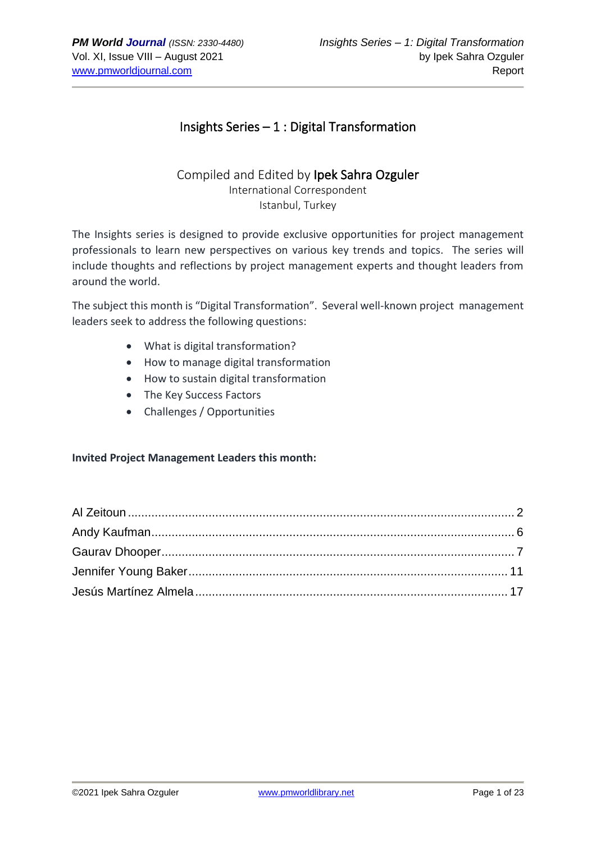# Insights Series – 1 : Digital Transformation

# Compiled and Edited by Ipek Sahra Ozguler International Correspondent Istanbul, Turkey

The Insights series is designed to provide exclusive opportunities for project management professionals to learn new perspectives on various key trends and topics. The series will include thoughts and reflections by project management experts and thought leaders from around the world.

The subject this month is "Digital Transformation". Several well-known project management leaders seek to address the following questions:

- What is digital transformation?
- How to manage digital transformation
- How to sustain digital transformation
- The Key Success Factors
- Challenges / Opportunities

## **Invited Project Management Leaders this month:**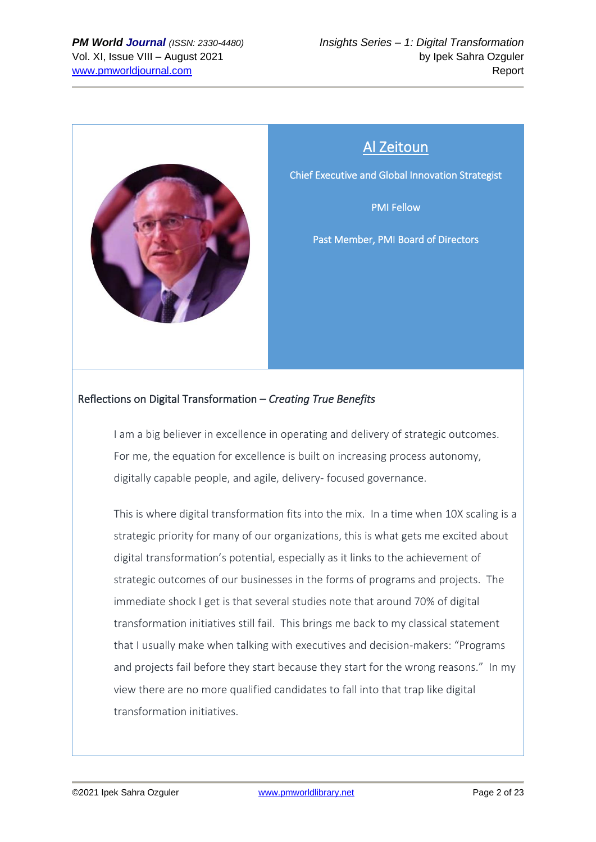

# Al Zeitoun

<span id="page-1-0"></span>Chief Executive and Global Innovation Strategist

PMI Fellow

Past Member, PMI Board of Directors

# Reflections on Digital Transformation – *Creating True Benefits*

I am a big believer in excellence in operating and delivery of strategic outcomes. For me, the equation for excellence is built on increasing process autonomy, digitally capable people, and agile, delivery- focused governance.

This is where digital transformation fits into the mix. In a time when 10X scaling is a strategic priority for many of our organizations, this is what gets me excited about digital transformation's potential, especially as it links to the achievement of strategic outcomes of our businesses in the forms of programs and projects. The immediate shock I get is that several studies note that around 70% of digital transformation initiatives still fail. This brings me back to my classical statement that I usually make when talking with executives and decision-makers: "Programs and projects fail before they start because they start for the wrong reasons." In my view there are no more qualified candidates to fall into that trap like digital transformation initiatives.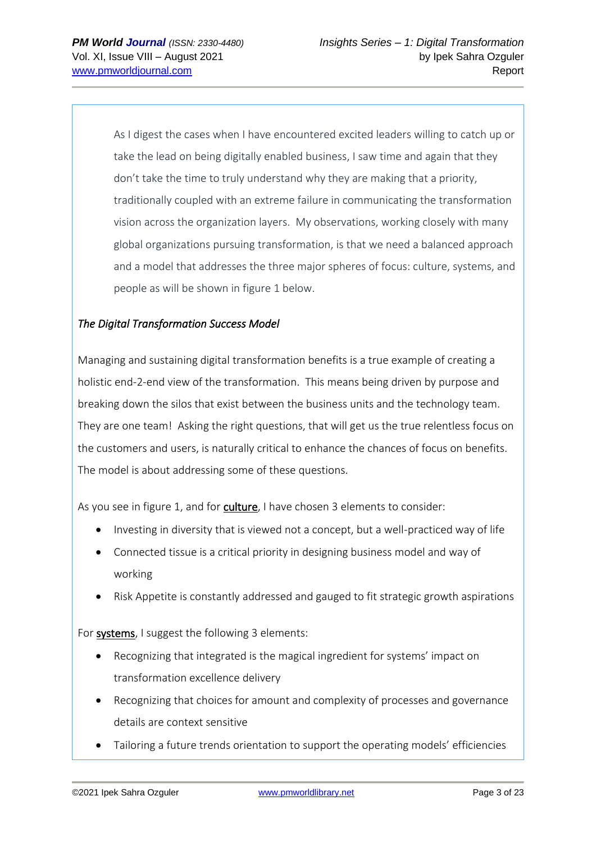As I digest the cases when I have encountered excited leaders willing to catch up or take the lead on being digitally enabled business, I saw time and again that they don't take the time to truly understand why they are making that a priority, traditionally coupled with an extreme failure in communicating the transformation vision across the organization layers. My observations, working closely with many global organizations pursuing transformation, is that we need a balanced approach and a model that addresses the three major spheres of focus: culture, systems, and people as will be shown in figure 1 below.

# *The Digital Transformation Success Model*

Managing and sustaining digital transformation benefits is a true example of creating a holistic end-2-end view of the transformation. This means being driven by purpose and breaking down the silos that exist between the business units and the technology team. They are one team! Asking the right questions, that will get us the true relentless focus on the customers and users, is naturally critical to enhance the chances of focus on benefits. The model is about addressing some of these questions.

As you see in figure 1, and for culture, I have chosen 3 elements to consider:

- Investing in diversity that is viewed not a concept, but a well-practiced way of life
- Connected tissue is a critical priority in designing business model and way of working
- Risk Appetite is constantly addressed and gauged to fit strategic growth aspirations

For systems, I suggest the following 3 elements:

- Recognizing that integrated is the magical ingredient for systems' impact on transformation excellence delivery
- Recognizing that choices for amount and complexity of processes and governance details are context sensitive
- Tailoring a future trends orientation to support the operating models' efficiencies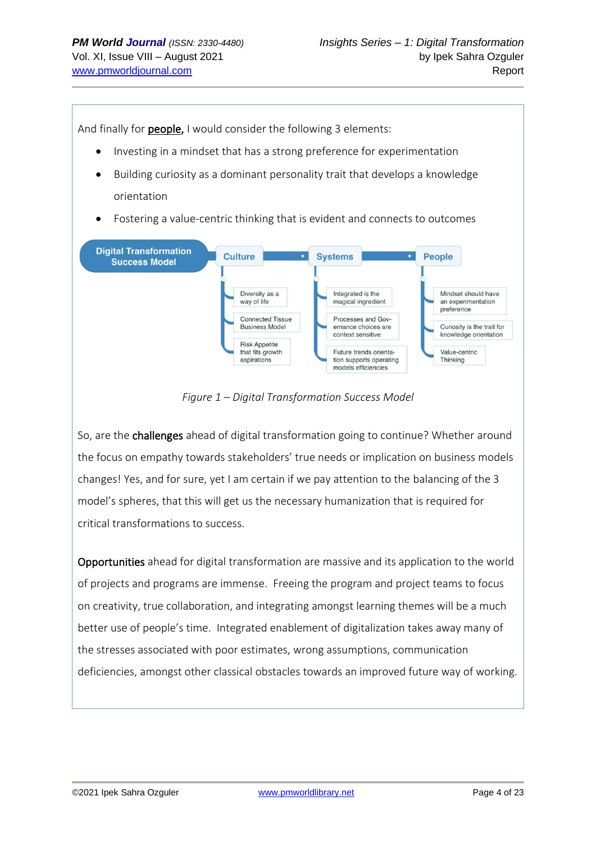And finally for **people,** I would consider the following 3 elements:

- Investing in a mindset that has a strong preference for experimentation
- Building curiosity as a dominant personality trait that develops a knowledge orientation
- Fostering a value-centric thinking that is evident and connects to outcomes



*Figure 1 – Digital Transformation Success Model*

So, are the challenges ahead of digital transformation going to continue? Whether around the focus on empathy towards stakeholders' true needs or implication on business models changes! Yes, and for sure, yet I am certain if we pay attention to the balancing of the 3 model's spheres, that this will get us the necessary humanization that is required for critical transformations to success.

Opportunities ahead for digital transformation are massive and its application to the world of projects and programs are immense. Freeing the program and project teams to focus on creativity, true collaboration, and integrating amongst learning themes will be a much better use of people's time. Integrated enablement of digitalization takes away many of the stresses associated with poor estimates, wrong assumptions, communication deficiencies, amongst other classical obstacles towards an improved future way of working.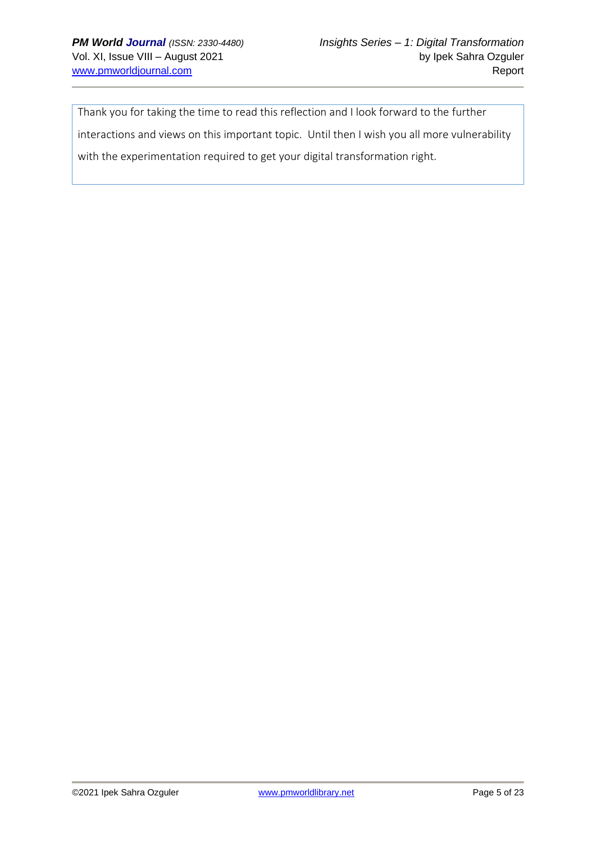Thank you for taking the time to read this reflection and I look forward to the further interactions and views on this important topic. Until then I wish you all more vulnerability with the experimentation required to get your digital transformation right.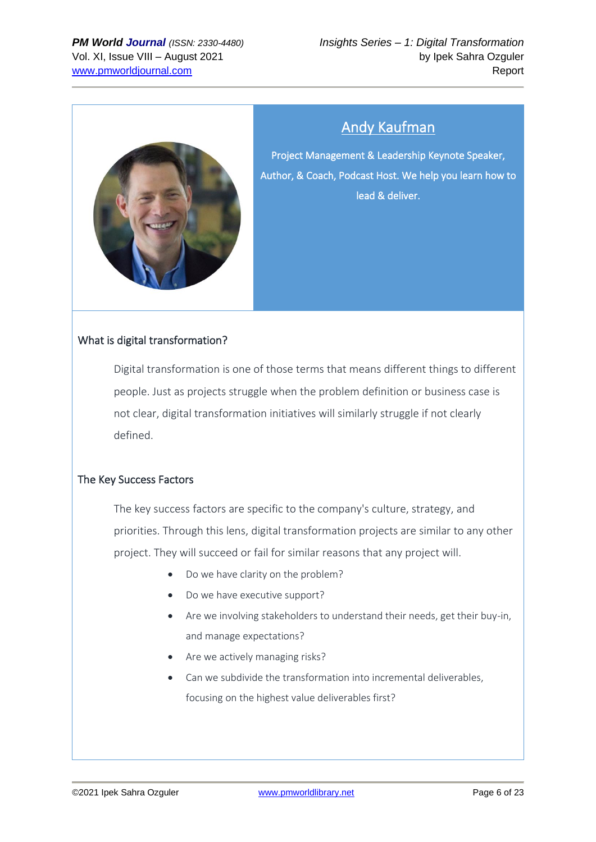

# Andy Kaufman

<span id="page-5-0"></span>Project Management & Leadership Keynote Speaker, Author, & Coach, Podcast Host. We help you learn how to lead & deliver.

# What is digital transformation?

Digital transformation is one of those terms that means different things to different people. Just as projects struggle when the problem definition or business case is not clear, digital transformation initiatives will similarly struggle if not clearly defined.

## The Key Success Factors

The key success factors are specific to the company's culture, strategy, and priorities. Through this lens, digital transformation projects are similar to any other project. They will succeed or fail for similar reasons that any project will.

- Do we have clarity on the problem?
- Do we have executive support?
- Are we involving stakeholders to understand their needs, get their buy-in, and manage expectations?
- Are we actively managing risks?
- Can we subdivide the transformation into incremental deliverables, focusing on the highest value deliverables first?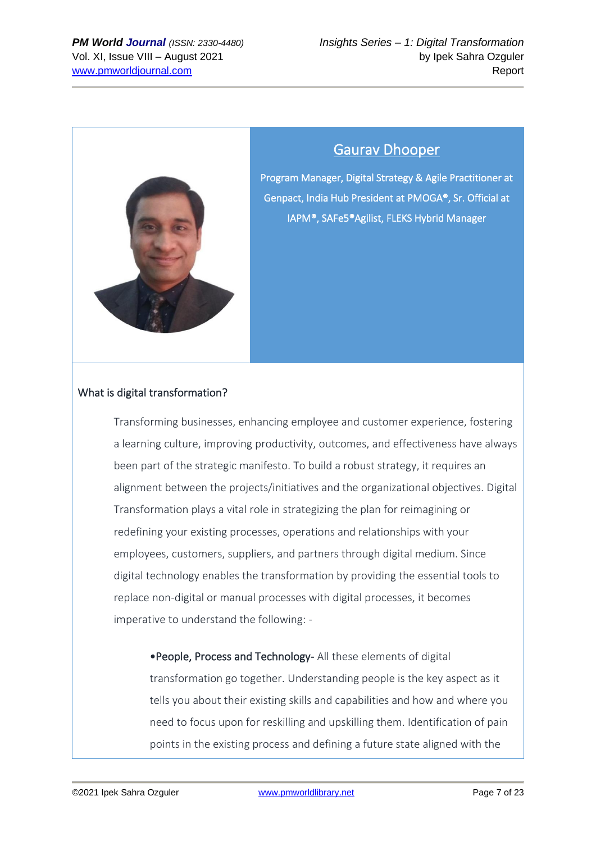

# Gaurav Dhooper

<span id="page-6-0"></span>Program Manager, Digital Strategy & Agile Practitioner at Genpact, India Hub President at PMOGA®, Sr. Official at IAPM®, SAFe5®Agilist, FLEKS Hybrid Manager

## What is digital transformation?

Transforming businesses, enhancing employee and customer experience, fostering a learning culture, improving productivity, outcomes, and effectiveness have always been part of the strategic manifesto. To build a robust strategy, it requires an alignment between the projects/initiatives and the organizational objectives. Digital Transformation plays a vital role in strategizing the plan for reimagining or redefining your existing processes, operations and relationships with your employees, customers, suppliers, and partners through digital medium. Since digital technology enables the transformation by providing the essential tools to replace non-digital or manual processes with digital processes, it becomes imperative to understand the following: -

•People, Process and Technology- All these elements of digital transformation go together. Understanding people is the key aspect as it tells you about their existing skills and capabilities and how and where you need to focus upon for reskilling and upskilling them. Identification of pain points in the existing process and defining a future state aligned with the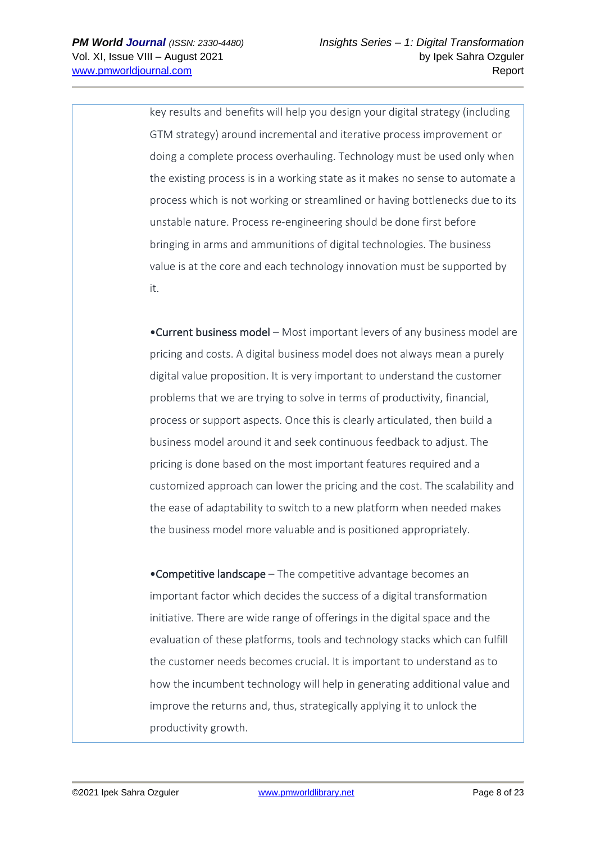key results and benefits will help you design your digital strategy (including GTM strategy) around incremental and iterative process improvement or doing a complete process overhauling. Technology must be used only when the existing process is in a working state as it makes no sense to automate a process which is not working or streamlined or having bottlenecks due to its unstable nature. Process re-engineering should be done first before bringing in arms and ammunitions of digital technologies. The business value is at the core and each technology innovation must be supported by it.

•Current business model – Most important levers of any business model are pricing and costs. A digital business model does not always mean a purely digital value proposition. It is very important to understand the customer problems that we are trying to solve in terms of productivity, financial, process or support aspects. Once this is clearly articulated, then build a business model around it and seek continuous feedback to adjust. The pricing is done based on the most important features required and a customized approach can lower the pricing and the cost. The scalability and the ease of adaptability to switch to a new platform when needed makes the business model more valuable and is positioned appropriately.

•Competitive landscape – The competitive advantage becomes an important factor which decides the success of a digital transformation initiative. There are wide range of offerings in the digital space and the evaluation of these platforms, tools and technology stacks which can fulfill the customer needs becomes crucial. It is important to understand as to how the incumbent technology will help in generating additional value and improve the returns and, thus, strategically applying it to unlock the productivity growth.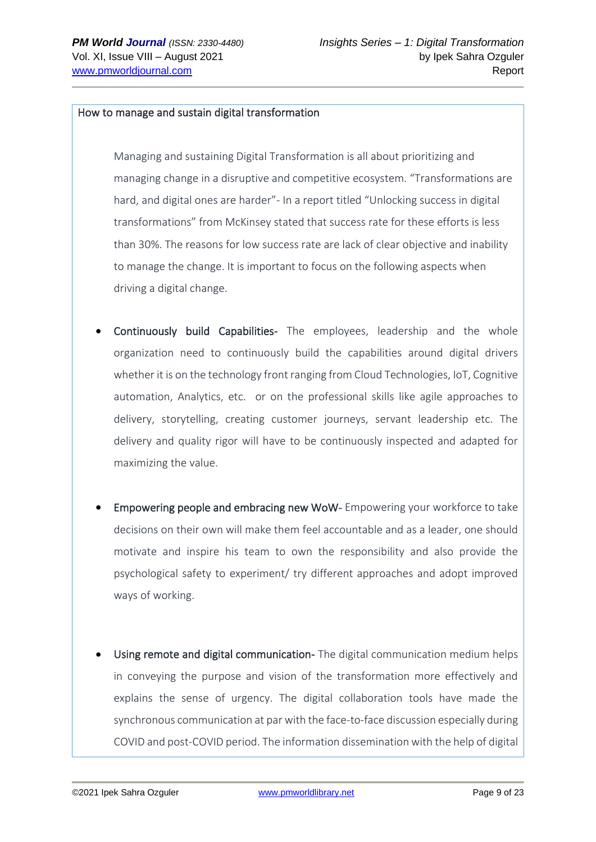### How to manage and sustain digital transformation

Managing and sustaining Digital Transformation is all about prioritizing and managing change in a disruptive and competitive ecosystem. "Transformations are hard, and digital ones are harder"- In a report titled "Unlocking success in digital transformations" from McKinsey stated that success rate for these efforts is less than 30%. The reasons for low success rate are lack of clear objective and inability to manage the change. It is important to focus on the following aspects when driving a digital change.

- Continuously build Capabilities- The employees, leadership and the whole organization need to continuously build the capabilities around digital drivers whether it is on the technology front ranging from Cloud Technologies, IoT, Cognitive automation, Analytics, etc. or on the professional skills like agile approaches to delivery, storytelling, creating customer journeys, servant leadership etc. The delivery and quality rigor will have to be continuously inspected and adapted for maximizing the value.
- Empowering people and embracing new WoW- Empowering your workforce to take decisions on their own will make them feel accountable and as a leader, one should motivate and inspire his team to own the responsibility and also provide the psychological safety to experiment/ try different approaches and adopt improved ways of working.
- Using remote and digital communication- The digital communication medium helps in conveying the purpose and vision of the transformation more effectively and explains the sense of urgency. The digital collaboration tools have made the synchronous communication at par with the face-to-face discussion especially during COVID and post-COVID period. The information dissemination with the help of digital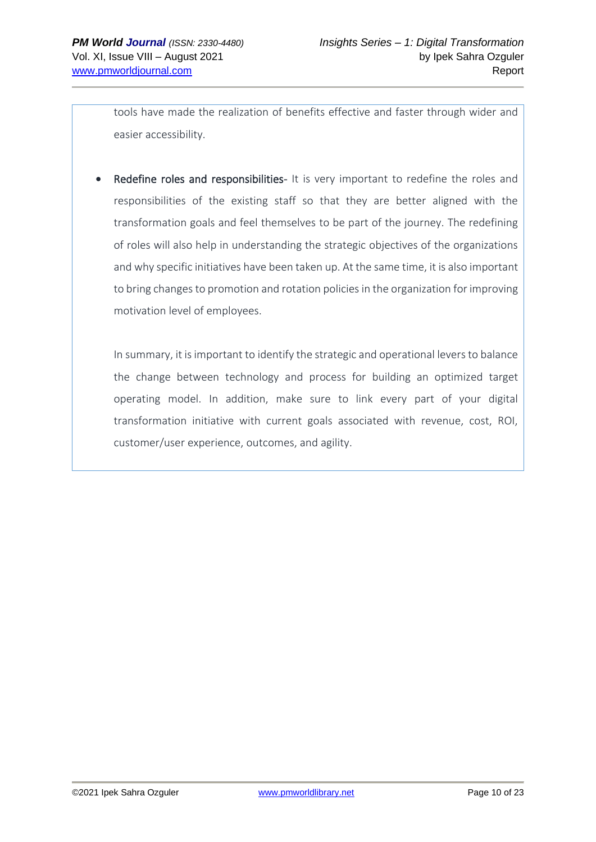tools have made the realization of benefits effective and faster through wider and easier accessibility.

Redefine roles and responsibilities- It is very important to redefine the roles and responsibilities of the existing staff so that they are better aligned with the transformation goals and feel themselves to be part of the journey. The redefining of roles will also help in understanding the strategic objectives of the organizations and why specific initiatives have been taken up. At the same time, it is also important to bring changes to promotion and rotation policies in the organization for improving motivation level of employees.

In summary, it is important to identify the strategic and operational levers to balance the change between technology and process for building an optimized target operating model. In addition, make sure to link every part of your digital transformation initiative with current goals associated with revenue, cost, ROI, customer/user experience, outcomes, and agility.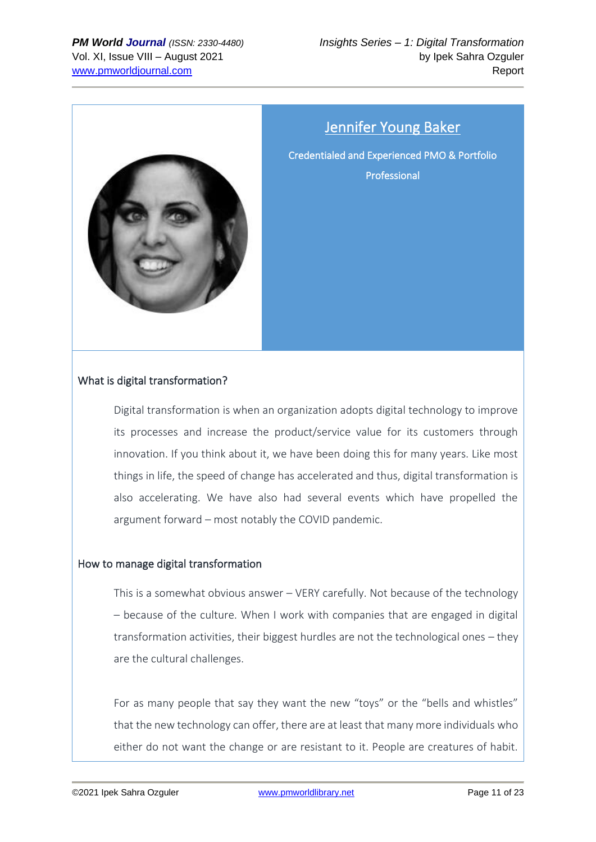

# Jennifer Young Baker

<span id="page-10-0"></span>Credentialed and Experienced PMO & Portfolio Professional

# What is digital transformation?

Digital transformation is when an organization adopts digital technology to improve its processes and increase the product/service value for its customers through innovation. If you think about it, we have been doing this for many years. Like most things in life, the speed of change has accelerated and thus, digital transformation is also accelerating. We have also had several events which have propelled the argument forward – most notably the COVID pandemic.

## How to manage digital transformation

This is a somewhat obvious answer – VERY carefully. Not because of the technology – because of the culture. When I work with companies that are engaged in digital transformation activities, their biggest hurdles are not the technological ones – they are the cultural challenges.

For as many people that say they want the new "toys" or the "bells and whistles" that the new technology can offer, there are at least that many more individuals who either do not want the change or are resistant to it. People are creatures of habit.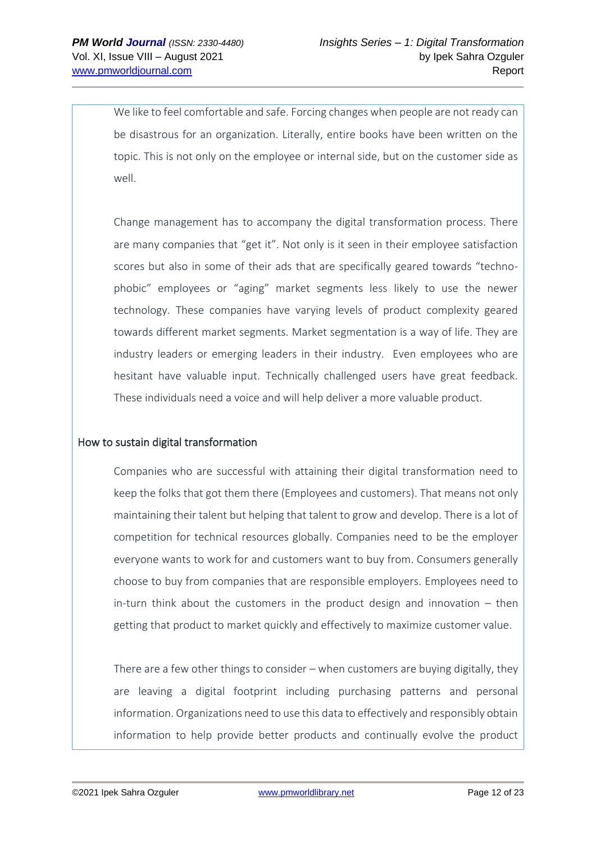We like to feel comfortable and safe. Forcing changes when people are not ready can be disastrous for an organization. Literally, entire books have been written on the topic. This is not only on the employee or internal side, but on the customer side as well.

Change management has to accompany the digital transformation process. There are many companies that "get it". Not only is it seen in their employee satisfaction scores but also in some of their ads that are specifically geared towards "technophobic" employees or "aging" market segments less likely to use the newer technology. These companies have varying levels of product complexity geared towards different market segments. Market segmentation is a way of life. They are industry leaders or emerging leaders in their industry. Even employees who are hesitant have valuable input. Technically challenged users have great feedback. These individuals need a voice and will help deliver a more valuable product.

## How to sustain digital transformation

Companies who are successful with attaining their digital transformation need to keep the folks that got them there (Employees and customers). That means not only maintaining their talent but helping that talent to grow and develop. There is a lot of competition for technical resources globally. Companies need to be the employer everyone wants to work for and customers want to buy from. Consumers generally choose to buy from companies that are responsible employers. Employees need to in-turn think about the customers in the product design and innovation – then getting that product to market quickly and effectively to maximize customer value.

There are a few other things to consider – when customers are buying digitally, they are leaving a digital footprint including purchasing patterns and personal information. Organizations need to use this data to effectively and responsibly obtain information to help provide better products and continually evolve the product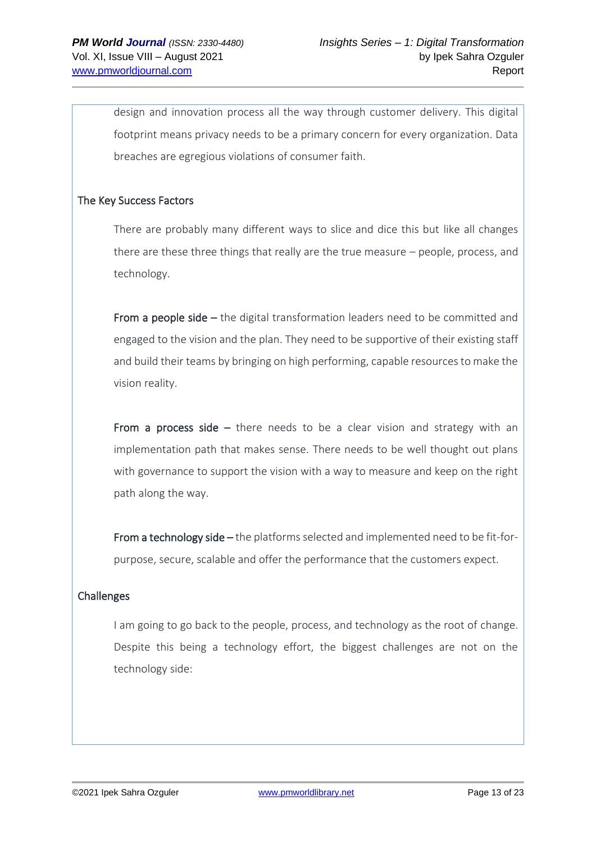design and innovation process all the way through customer delivery. This digital footprint means privacy needs to be a primary concern for every organization. Data breaches are egregious violations of consumer faith.

## The Key Success Factors

There are probably many different ways to slice and dice this but like all changes there are these three things that really are the true measure – people, process, and technology.

From a people side – the digital transformation leaders need to be committed and engaged to the vision and the plan. They need to be supportive of their existing staff and build their teams by bringing on high performing, capable resources to make the vision reality.

From a process side  $-$  there needs to be a clear vision and strategy with an implementation path that makes sense. There needs to be well thought out plans with governance to support the vision with a way to measure and keep on the right path along the way.

From a technology side – the platforms selected and implemented need to be fit-forpurpose, secure, scalable and offer the performance that the customers expect.

# Challenges

I am going to go back to the people, process, and technology as the root of change. Despite this being a technology effort, the biggest challenges are not on the technology side: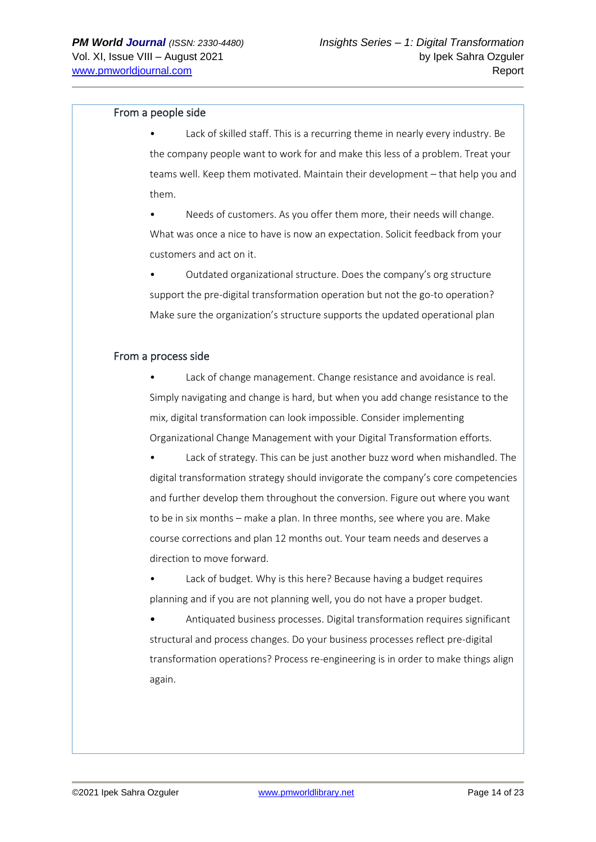#### From a people side

Lack of skilled staff. This is a recurring theme in nearly every industry. Be the company people want to work for and make this less of a problem. Treat your teams well. Keep them motivated. Maintain their development – that help you and them.

Needs of customers. As you offer them more, their needs will change. What was once a nice to have is now an expectation. Solicit feedback from your customers and act on it.

• Outdated organizational structure. Does the company's org structure support the pre-digital transformation operation but not the go-to operation? Make sure the organization's structure supports the updated operational plan

#### From a process side

Lack of change management. Change resistance and avoidance is real. Simply navigating and change is hard, but when you add change resistance to the mix, digital transformation can look impossible. Consider implementing Organizational Change Management with your Digital Transformation efforts.

Lack of strategy. This can be just another buzz word when mishandled. The digital transformation strategy should invigorate the company's core competencies and further develop them throughout the conversion. Figure out where you want to be in six months – make a plan. In three months, see where you are. Make course corrections and plan 12 months out. Your team needs and deserves a direction to move forward.

Lack of budget. Why is this here? Because having a budget requires planning and if you are not planning well, you do not have a proper budget.

• Antiquated business processes. Digital transformation requires significant structural and process changes. Do your business processes reflect pre-digital transformation operations? Process re-engineering is in order to make things align again.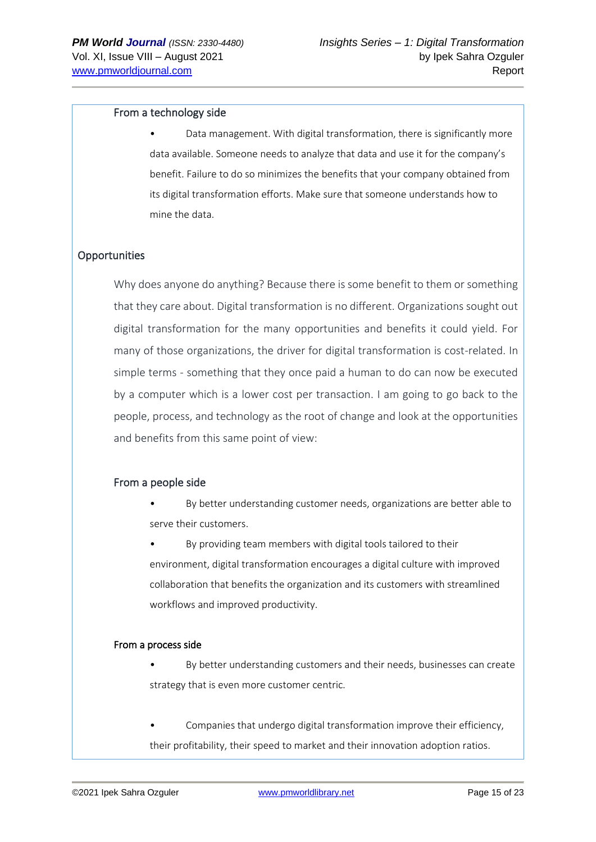#### From a technology side

• Data management. With digital transformation, there is significantly more data available. Someone needs to analyze that data and use it for the company's benefit. Failure to do so minimizes the benefits that your company obtained from its digital transformation efforts. Make sure that someone understands how to mine the data.

### **Opportunities**

Why does anyone do anything? Because there is some benefit to them or something that they care about. Digital transformation is no different. Organizations sought out digital transformation for the many opportunities and benefits it could yield. For many of those organizations, the driver for digital transformation is cost-related. In simple terms - something that they once paid a human to do can now be executed by a computer which is a lower cost per transaction. I am going to go back to the people, process, and technology as the root of change and look at the opportunities and benefits from this same point of view:

#### From a people side

• By better understanding customer needs, organizations are better able to serve their customers.

By providing team members with digital tools tailored to their environment, digital transformation encourages a digital culture with improved collaboration that benefits the organization and its customers with streamlined workflows and improved productivity.

#### From a process side

• By better understanding customers and their needs, businesses can create strategy that is even more customer centric.

• Companies that undergo digital transformation improve their efficiency, their profitability, their speed to market and their innovation adoption ratios.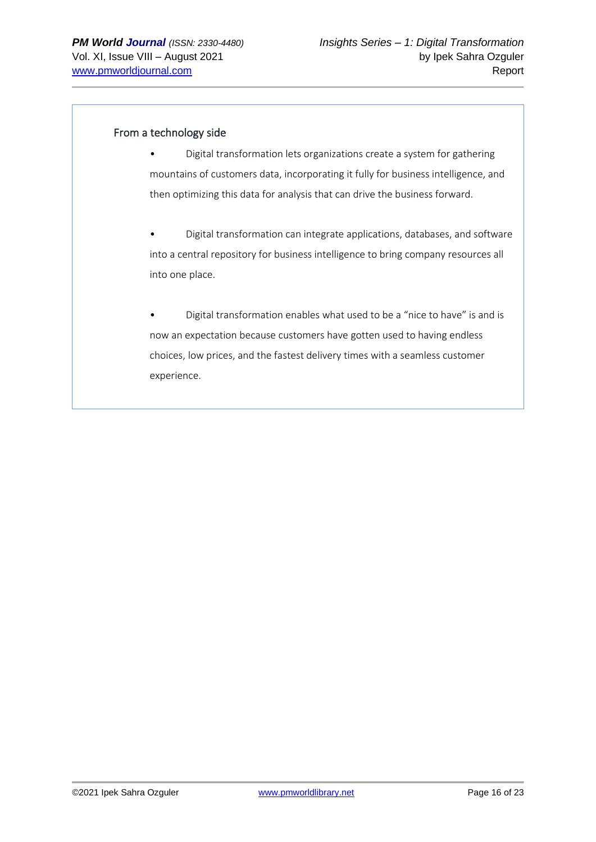### From a technology side

- Digital transformation lets organizations create a system for gathering mountains of customers data, incorporating it fully for business intelligence, and then optimizing this data for analysis that can drive the business forward.
- Digital transformation can integrate applications, databases, and software into a central repository for business intelligence to bring company resources all into one place.
- Digital transformation enables what used to be a "nice to have" is and is now an expectation because customers have gotten used to having endless choices, low prices, and the fastest delivery times with a seamless customer experience.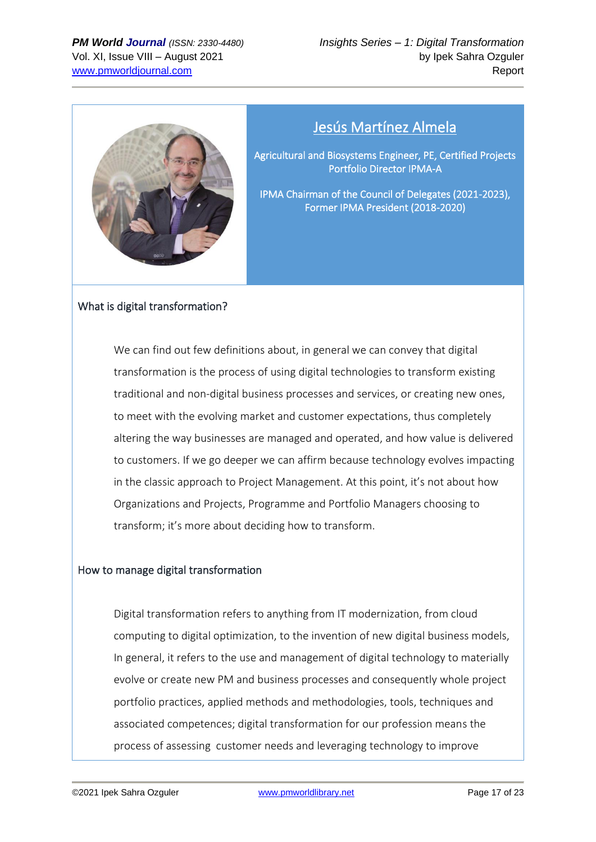

# Jesús Martínez Almela

<span id="page-16-0"></span>Agricultural and Biosystems Engineer, PE, Certified Projects Portfolio Director IPMA-A

IPMA Chairman of the Council of Delegates (2021-2023), Former IPMA President (2018-2020)

## What is digital transformation?

We can find out few definitions about, in general we can convey that digital transformation is the process of using digital technologies to transform existing traditional and non-digital business processes and services, or creating new ones, to meet with the evolving market and customer expectations, thus completely altering the way businesses are managed and operated, and how value is delivered to customers. If we go deeper we can affirm because technology evolves impacting in the classic approach to Project Management. At this point, it's not about how Organizations and Projects, Programme and Portfolio Managers choosing to transform; it's more about deciding how to transform.

## How to manage digital transformation

Digital transformation refers to anything from IT modernization, from cloud computing to digital optimization, to the invention of new digital business models, In general, it refers to the use and management of digital technology to materially evolve or create new PM and business processes and consequently whole project portfolio practices, applied methods and methodologies, tools, techniques and associated competences; digital transformation for our profession means the process of assessing customer needs and leveraging technology to improve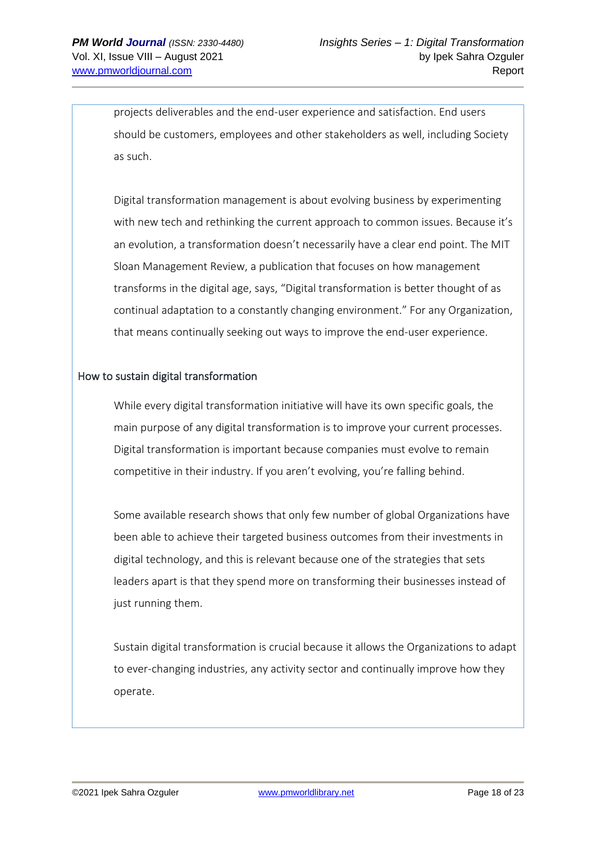projects deliverables and the end-user experience and satisfaction. End users should be customers, employees and other stakeholders as well, including Society as such.

Digital transformation management is about evolving business by experimenting with new tech and rethinking the current approach to common issues. Because it's an evolution, a transformation doesn't necessarily have a clear end point. The MIT Sloan Management Review, a publication that focuses on how management transforms in the digital age, says, "Digital transformation is better thought of as continual adaptation to a constantly changing environment." For any Organization, that means continually seeking out ways to improve the end-user experience.

## How to sustain digital transformation

While every digital transformation initiative will have its own specific goals, the main purpose of any digital transformation is to improve your current processes. Digital transformation is important because companies must evolve to remain competitive in their industry. If you aren't evolving, you're falling behind.

Some available research shows that only few number of global Organizations have been able to achieve their targeted business outcomes from their investments in digital technology, and this is relevant because one of the strategies that sets leaders apart is that they spend more on transforming their businesses instead of just running them.

Sustain digital transformation is crucial because it allows the Organizations to adapt to ever-changing industries, any activity sector and continually improve how they operate.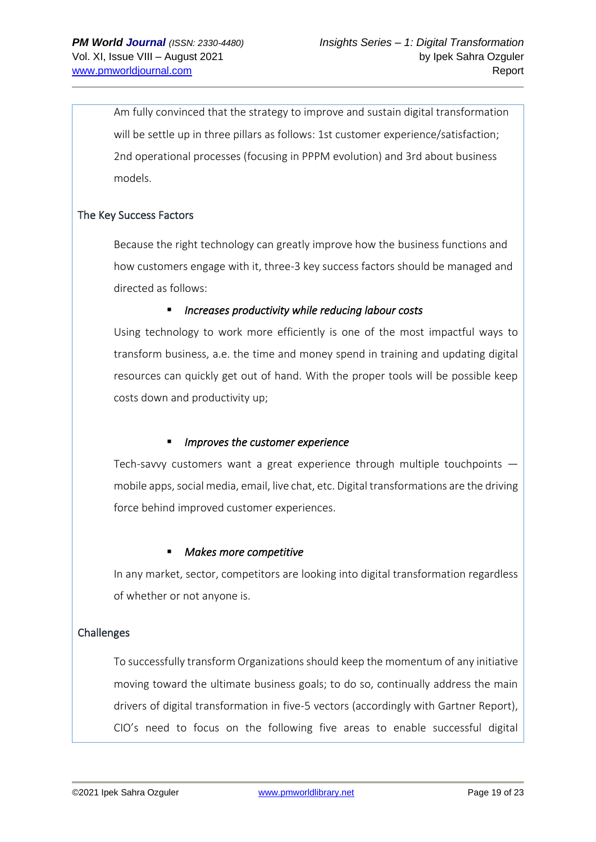Am fully convinced that the strategy to improve and sustain digital transformation will be settle up in three pillars as follows: 1st customer experience/satisfaction; 2nd operational processes (focusing in PPPM evolution) and 3rd about business models.

# The Key Success Factors

Because the right technology can greatly improve how the business functions and how customers engage with it, three-3 key success factors should be managed and directed as follows:

## ■ *Increases productivity while reducing labour costs*

Using technology to work more efficiently is one of the most impactful ways to transform business, a.e. the time and money spend in training and updating digital resources can quickly get out of hand. With the proper tools will be possible keep costs down and productivity up;

## ▪ *Improves the customer experience*

Tech-savvy customers want a great experience through multiple touchpoints mobile apps, social media, email, live chat, etc. Digital transformations are the driving force behind improved customer experiences.

## ▪ *Makes more competitive*

In any market, sector, competitors are looking into digital transformation regardless of whether or not anyone is.

# Challenges

To successfully transform Organizations should keep the momentum of any initiative moving toward the ultimate business goals; to do so, continually address the main drivers of digital transformation in five-5 vectors (accordingly with Gartner Report), CIO's need to focus on the following five areas to enable successful digital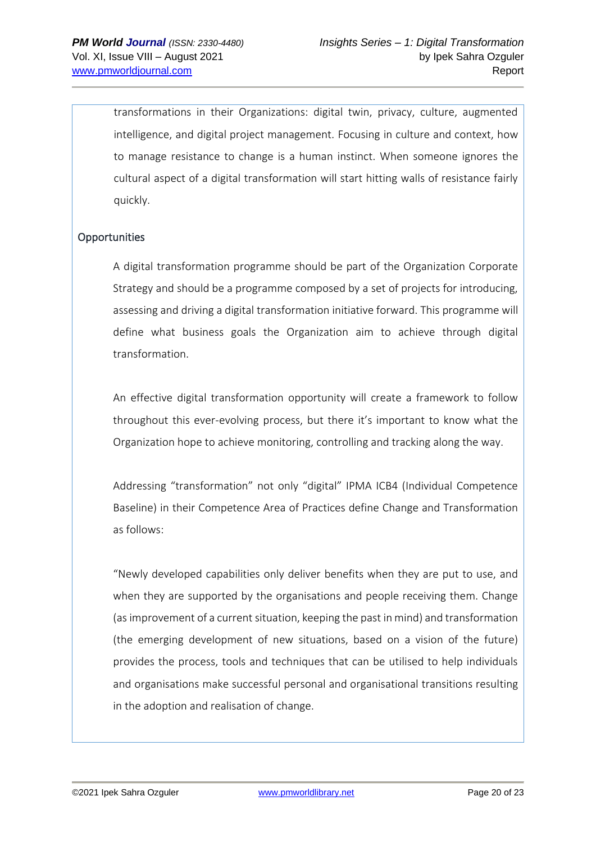transformations in their Organizations: digital twin, privacy, culture, augmented intelligence, and digital project management. Focusing in culture and context, how to manage resistance to change is a human instinct. When someone ignores the cultural aspect of a digital transformation will start hitting walls of resistance fairly quickly.

## **Opportunities**

A digital transformation programme should be part of the Organization Corporate Strategy and should be a programme composed by a set of projects for introducing, assessing and driving a digital transformation initiative forward. This programme will define what business goals the Organization aim to achieve through digital transformation.

An effective digital transformation opportunity will create a framework to follow throughout this ever-evolving process, but there it's important to know what the Organization hope to achieve monitoring, controlling and tracking along the way.

Addressing "transformation" not only "digital" IPMA ICB4 (Individual Competence Baseline) in their Competence Area of Practices define Change and Transformation as follows:

"Newly developed capabilities only deliver benefits when they are put to use, and when they are supported by the organisations and people receiving them. Change (as improvement of a current situation, keeping the past in mind) and transformation (the emerging development of new situations, based on a vision of the future) provides the process, tools and techniques that can be utilised to help individuals and organisations make successful personal and organisational transitions resulting in the adoption and realisation of change.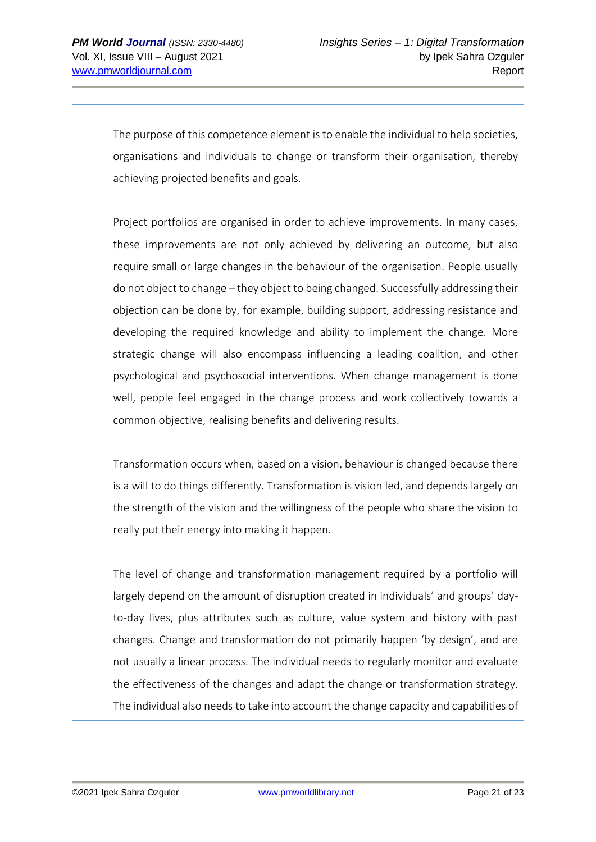The purpose of this competence element is to enable the individual to help societies, organisations and individuals to change or transform their organisation, thereby achieving projected benefits and goals.

Project portfolios are organised in order to achieve improvements. In many cases, these improvements are not only achieved by delivering an outcome, but also require small or large changes in the behaviour of the organisation. People usually do not object to change – they object to being changed. Successfully addressing their objection can be done by, for example, building support, addressing resistance and developing the required knowledge and ability to implement the change. More strategic change will also encompass influencing a leading coalition, and other psychological and psychosocial interventions. When change management is done well, people feel engaged in the change process and work collectively towards a common objective, realising benefits and delivering results.

Transformation occurs when, based on a vision, behaviour is changed because there is a will to do things differently. Transformation is vision led, and depends largely on the strength of the vision and the willingness of the people who share the vision to really put their energy into making it happen.

The level of change and transformation management required by a portfolio will largely depend on the amount of disruption created in individuals' and groups' dayto-day lives, plus attributes such as culture, value system and history with past changes. Change and transformation do not primarily happen 'by design', and are not usually a linear process. The individual needs to regularly monitor and evaluate the effectiveness of the changes and adapt the change or transformation strategy. The individual also needs to take into account the change capacity and capabilities of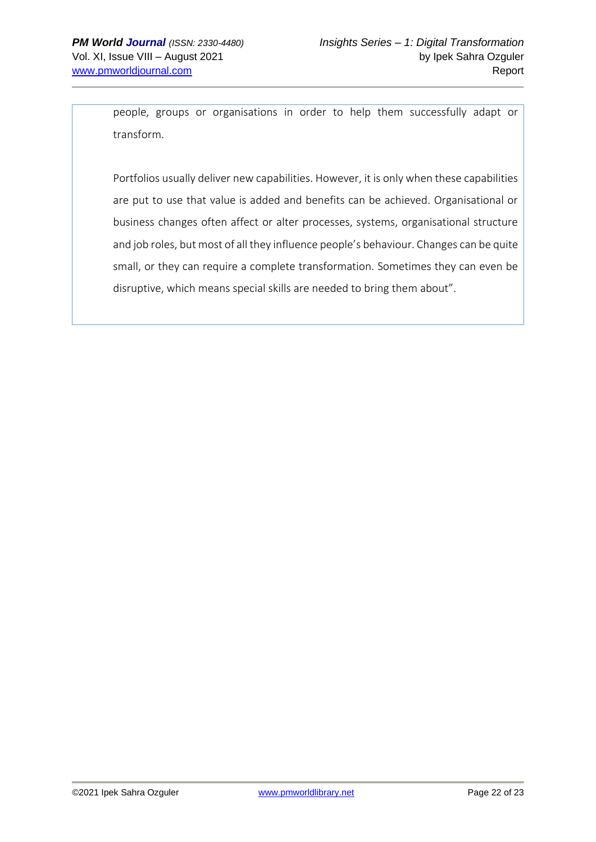people, groups or organisations in order to help them successfully adapt or transform.

Portfolios usually deliver new capabilities. However, it is only when these capabilities are put to use that value is added and benefits can be achieved. Organisational or business changes often affect or alter processes, systems, organisational structure and job roles, but most of all they influence people's behaviour. Changes can be quite small, or they can require a complete transformation. Sometimes they can even be disruptive, which means special skills are needed to bring them about".